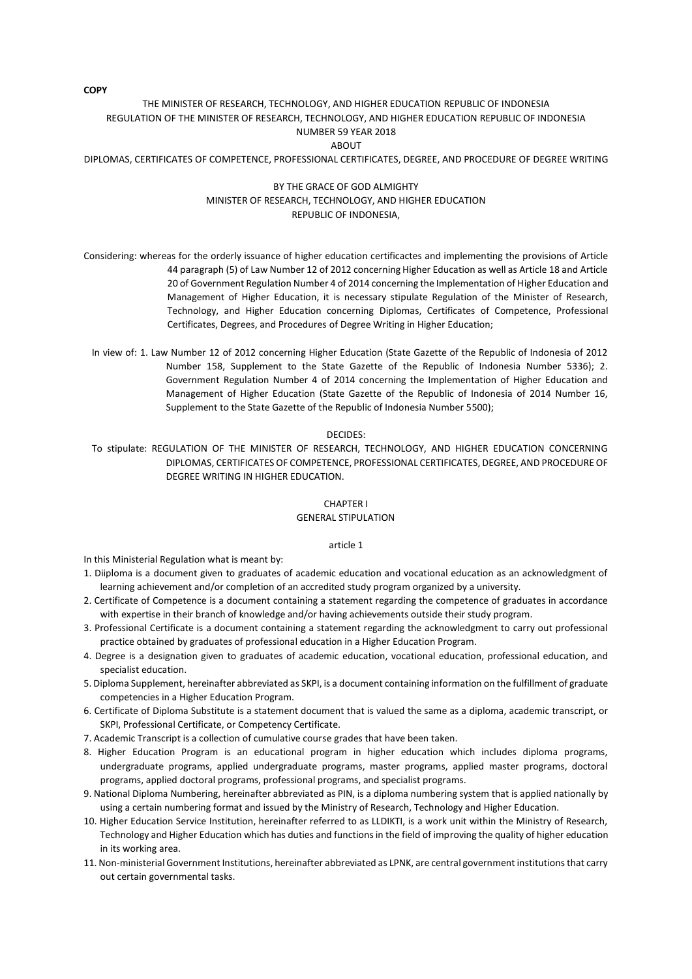# THE MINISTER OF RESEARCH, TECHNOLOGY, AND HIGHER EDUCATION REPUBLIC OF INDONESIA REGULATION OF THE MINISTER OF RESEARCH, TECHNOLOGY, AND HIGHER EDUCATION REPUBLIC OF INDONESIA NUMBER 59 YEAR 2018 ABOUT

DIPLOMAS, CERTIFICATES OF COMPETENCE, PROFESSIONAL CERTIFICATES, DEGREE, AND PROCEDURE OF DEGREE WRITING

# BY THE GRACE OF GOD ALMIGHTY MINISTER OF RESEARCH, TECHNOLOGY, AND HIGHER EDUCATION REPUBLIC OF INDONESIA,

Considering: whereas for the orderly issuance of higher education certificactes and implementing the provisions of Article 44 paragraph (5) of Law Number 12 of 2012 concerning Higher Education as well as Article 18 and Article 20 of Government Regulation Number 4 of 2014 concerning the Implementation of Higher Education and Management of Higher Education, it is necessary stipulate Regulation of the Minister of Research, Technology, and Higher Education concerning Diplomas, Certificates of Competence, Professional Certificates, Degrees, and Procedures of Degree Writing in Higher Education;

In view of: 1. Law Number 12 of 2012 concerning Higher Education (State Gazette of the Republic of Indonesia of 2012 Number 158, Supplement to the State Gazette of the Republic of Indonesia Number 5336); 2. Government Regulation Number 4 of 2014 concerning the Implementation of Higher Education and Management of Higher Education (State Gazette of the Republic of Indonesia of 2014 Number 16, Supplement to the State Gazette of the Republic of Indonesia Number 5500);

#### DECIDES:

To stipulate: REGULATION OF THE MINISTER OF RESEARCH, TECHNOLOGY, AND HIGHER EDUCATION CONCERNING DIPLOMAS, CERTIFICATES OF COMPETENCE, PROFESSIONAL CERTIFICATES, DEGREE, AND PROCEDURE OF DEGREE WRITING IN HIGHER EDUCATION.

# CHAPTER I

# GENERAL STIPULATION

#### article 1

In this Ministerial Regulation what is meant by:

- 1. Diiploma is a document given to graduates of academic education and vocational education as an acknowledgment of learning achievement and/or completion of an accredited study program organized by a university.
- 2. Certificate of Competence is a document containing a statement regarding the competence of graduates in accordance with expertise in their branch of knowledge and/or having achievements outside their study program.
- 3. Professional Certificate is a document containing a statement regarding the acknowledgment to carry out professional practice obtained by graduates of professional education in a Higher Education Program.
- 4. Degree is a designation given to graduates of academic education, vocational education, professional education, and specialist education.
- 5. Diploma Supplement, hereinafter abbreviated as SKPI, is a document containing information on the fulfillment of graduate competencies in a Higher Education Program.
- 6. Certificate of Diploma Substitute is a statement document that is valued the same as a diploma, academic transcript, or SKPI, Professional Certificate, or Competency Certificate.
- 7. Academic Transcript is a collection of cumulative course grades that have been taken.
- 8. Higher Education Program is an educational program in higher education which includes diploma programs, undergraduate programs, applied undergraduate programs, master programs, applied master programs, doctoral programs, applied doctoral programs, professional programs, and specialist programs.
- 9. National Diploma Numbering, hereinafter abbreviated as PIN, is a diploma numbering system that is applied nationally by using a certain numbering format and issued by the Ministry of Research, Technology and Higher Education.
- 10. Higher Education Service Institution, hereinafter referred to as LLDIKTI, is a work unit within the Ministry of Research, Technology and Higher Education which has duties and functions in the field of improving the quality of higher education in its working area.
- 11. Non-ministerial Government Institutions, hereinafter abbreviated as LPNK, are central government institutions that carry out certain governmental tasks.

**COPY**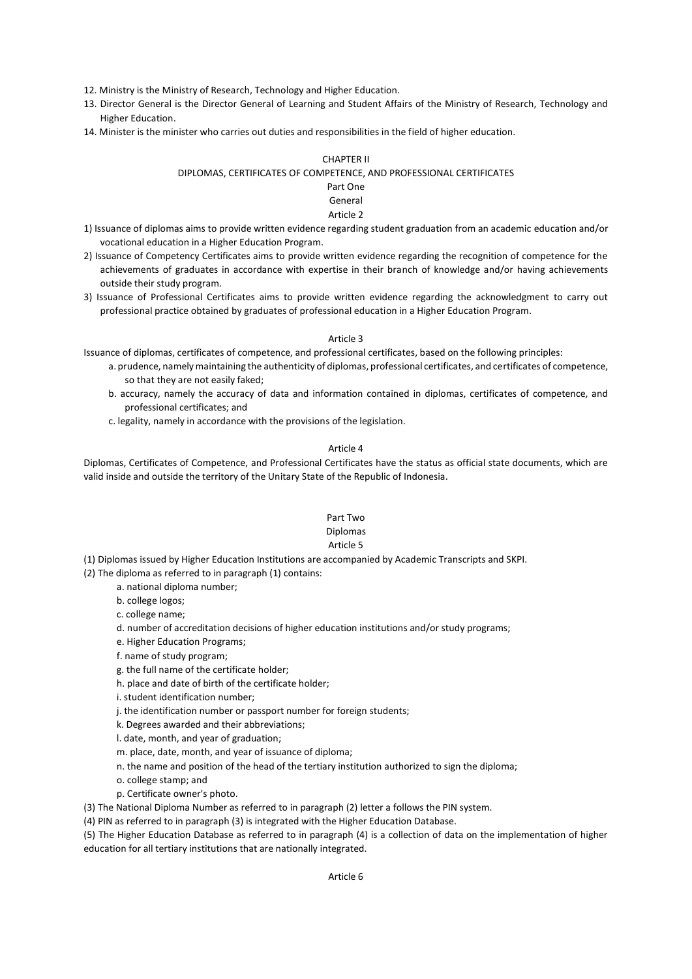12. Ministry is the Ministry of Research, Technology and Higher Education.

- 13. Director General is the Director General of Learning and Student Affairs of the Ministry of Research, Technology and Higher Education.
- 14. Minister is the minister who carries out duties and responsibilities in the field of higher education.

## CHAPTER II

# DIPLOMAS, CERTIFICATES OF COMPETENCE, AND PROFESSIONAL CERTIFICATES

# Part One

#### General Article 2

- 1) Issuance of diplomas aims to provide written evidence regarding student graduation from an academic education and/or vocational education in a Higher Education Program.
- 2) Issuance of Competency Certificates aims to provide written evidence regarding the recognition of competence for the achievements of graduates in accordance with expertise in their branch of knowledge and/or having achievements outside their study program.
- 3) Issuance of Professional Certificates aims to provide written evidence regarding the acknowledgment to carry out professional practice obtained by graduates of professional education in a Higher Education Program.

#### Article 3

Issuance of diplomas, certificates of competence, and professional certificates, based on the following principles:

- a. prudence, namely maintaining the authenticity of diplomas, professional certificates, and certificates of competence, so that they are not easily faked;
- b. accuracy, namely the accuracy of data and information contained in diplomas, certificates of competence, and professional certificates; and
- c. legality, namely in accordance with the provisions of the legislation.

## Article 4

Diplomas, Certificates of Competence, and Professional Certificates have the status as official state documents, which are valid inside and outside the territory of the Unitary State of the Republic of Indonesia.

# Part Two

# Diplomas

# Article 5

(1) Diplomas issued by Higher Education Institutions are accompanied by Academic Transcripts and SKPI.

(2) The diploma as referred to in paragraph (1) contains:

- a. national diploma number;
- b. college logos;
- c. college name;
- d. number of accreditation decisions of higher education institutions and/or study programs;
- e. Higher Education Programs;
- f. name of study program;
- g. the full name of the certificate holder;
- h. place and date of birth of the certificate holder;
- i. student identification number;
- j. the identification number or passport number for foreign students;
- k. Degrees awarded and their abbreviations;
- l. date, month, and year of graduation;
- m. place, date, month, and year of issuance of diploma;
- n. the name and position of the head of the tertiary institution authorized to sign the diploma;
- o. college stamp; and
- p. Certificate owner's photo.
- (3) The National Diploma Number as referred to in paragraph (2) letter a follows the PIN system.

(4) PIN as referred to in paragraph (3) is integrated with the Higher Education Database.

(5) The Higher Education Database as referred to in paragraph (4) is a collection of data on the implementation of higher education for all tertiary institutions that are nationally integrated.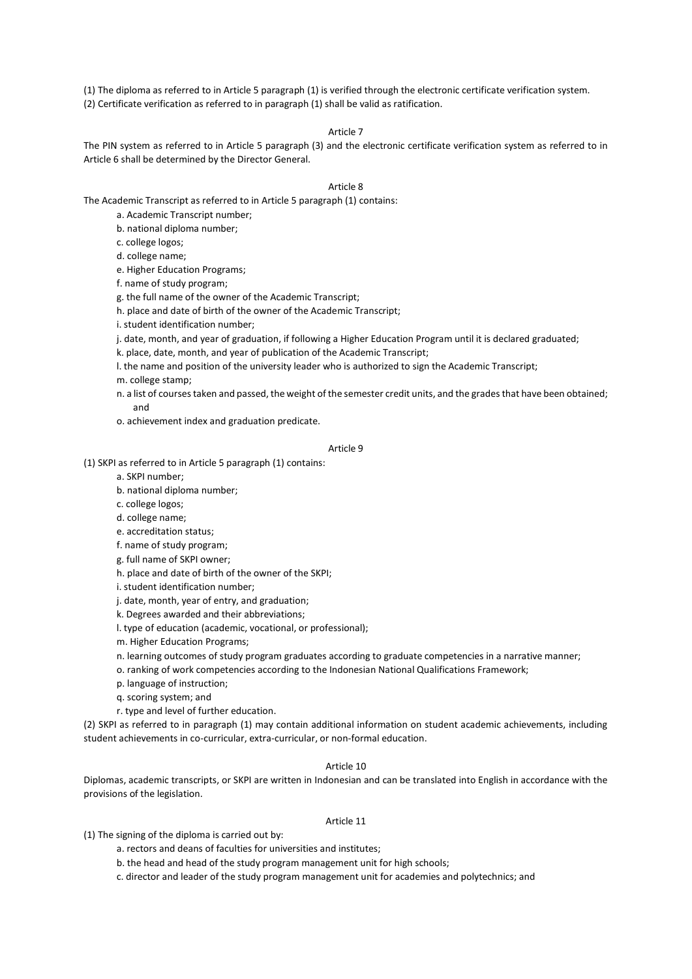(1) The diploma as referred to in Article 5 paragraph (1) is verified through the electronic certificate verification system. (2) Certificate verification as referred to in paragraph (1) shall be valid as ratification.

# Article 7

The PIN system as referred to in Article 5 paragraph (3) and the electronic certificate verification system as referred to in Article 6 shall be determined by the Director General.

## Article 8

The Academic Transcript as referred to in Article 5 paragraph (1) contains:

a. Academic Transcript number;

b. national diploma number;

c. college logos;

d. college name;

e. Higher Education Programs;

f. name of study program;

g. the full name of the owner of the Academic Transcript;

h. place and date of birth of the owner of the Academic Transcript;

i. student identification number;

j. date, month, and year of graduation, if following a Higher Education Program until it is declared graduated;

k. place, date, month, and year of publication of the Academic Transcript;

l. the name and position of the university leader who is authorized to sign the Academic Transcript;

m. college stamp;

n. a list of courses taken and passed, the weight of the semester credit units, and the grades that have been obtained; and

o. achievement index and graduation predicate.

#### Article 9

(1) SKPI as referred to in Article 5 paragraph (1) contains:

a. SKPI number;

b. national diploma number;

c. college logos;

d. college name;

e. accreditation status;

f. name of study program;

g. full name of SKPI owner;

h. place and date of birth of the owner of the SKPI;

i. student identification number;

j. date, month, year of entry, and graduation;

k. Degrees awarded and their abbreviations;

l. type of education (academic, vocational, or professional);

m. Higher Education Programs;

n. learning outcomes of study program graduates according to graduate competencies in a narrative manner;

o. ranking of work competencies according to the Indonesian National Qualifications Framework;

p. language of instruction;

q. scoring system; and

r. type and level of further education.

(2) SKPI as referred to in paragraph (1) may contain additional information on student academic achievements, including student achievements in co-curricular, extra-curricular, or non-formal education.

#### Article 10

Diplomas, academic transcripts, or SKPI are written in Indonesian and can be translated into English in accordance with the provisions of the legislation.

## Article 11

(1) The signing of the diploma is carried out by:

a. rectors and deans of faculties for universities and institutes;

b. the head and head of the study program management unit for high schools;

c. director and leader of the study program management unit for academies and polytechnics; and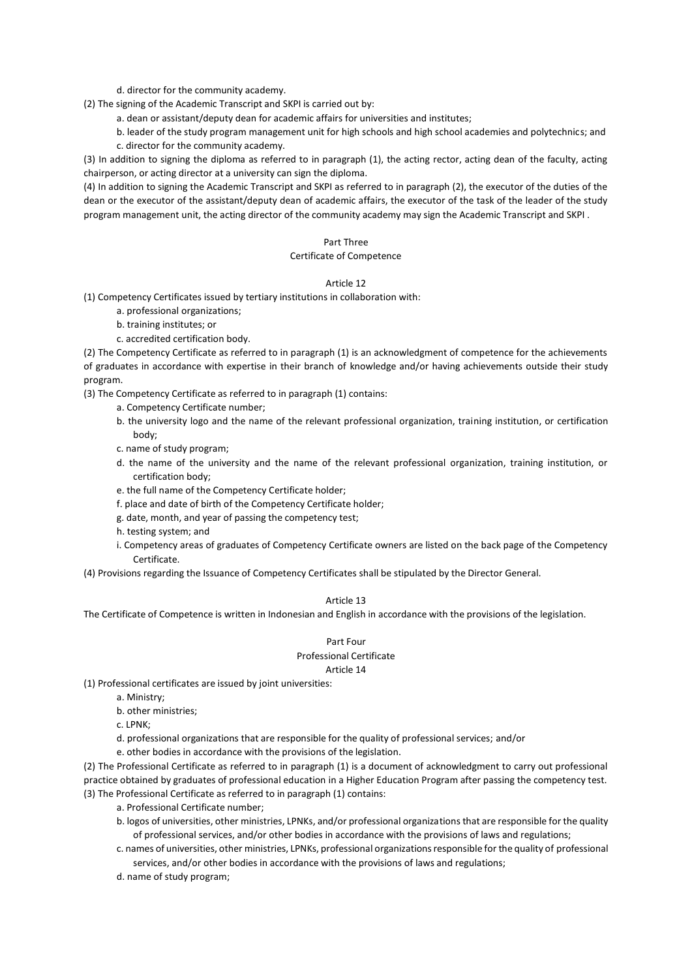d. director for the community academy.

(2) The signing of the Academic Transcript and SKPI is carried out by:

a. dean or assistant/deputy dean for academic affairs for universities and institutes;

b. leader of the study program management unit for high schools and high school academies and polytechnics; and c. director for the community academy.

(3) In addition to signing the diploma as referred to in paragraph (1), the acting rector, acting dean of the faculty, acting chairperson, or acting director at a university can sign the diploma.

(4) In addition to signing the Academic Transcript and SKPI as referred to in paragraph (2), the executor of the duties of the dean or the executor of the assistant/deputy dean of academic affairs, the executor of the task of the leader of the study program management unit, the acting director of the community academy may sign the Academic Transcript and SKPI .

## Part Three

## Certificate of Competence

#### Article 12

(1) Competency Certificates issued by tertiary institutions in collaboration with:

a. professional organizations;

b. training institutes; or

c. accredited certification body.

(2) The Competency Certificate as referred to in paragraph (1) is an acknowledgment of competence for the achievements of graduates in accordance with expertise in their branch of knowledge and/or having achievements outside their study program.

(3) The Competency Certificate as referred to in paragraph (1) contains:

- a. Competency Certificate number;
- b. the university logo and the name of the relevant professional organization, training institution, or certification body;
- c. name of study program;
- d. the name of the university and the name of the relevant professional organization, training institution, or certification body;
- e. the full name of the Competency Certificate holder;
- f. place and date of birth of the Competency Certificate holder;
- g. date, month, and year of passing the competency test;
- h. testing system; and
- i. Competency areas of graduates of Competency Certificate owners are listed on the back page of the Competency Certificate.

(4) Provisions regarding the Issuance of Competency Certificates shall be stipulated by the Director General.

# Article 13

The Certificate of Competence is written in Indonesian and English in accordance with the provisions of the legislation.

# Part Four Professional Certificate

# Article 14

(1) Professional certificates are issued by joint universities:

- a. Ministry;
- b. other ministries;
- c. LPNK;
- d. professional organizations that are responsible for the quality of professional services; and/or
- e. other bodies in accordance with the provisions of the legislation.

(2) The Professional Certificate as referred to in paragraph (1) is a document of acknowledgment to carry out professional practice obtained by graduates of professional education in a Higher Education Program after passing the competency test. (3) The Professional Certificate as referred to in paragraph (1) contains:

- a. Professional Certificate number;
- b. logos of universities, other ministries, LPNKs, and/or professional organizations that are responsible for the quality of professional services, and/or other bodies in accordance with the provisions of laws and regulations;
- c. names of universities, other ministries, LPNKs, professional organizations responsible for the quality of professional services, and/or other bodies in accordance with the provisions of laws and regulations;
- d. name of study program;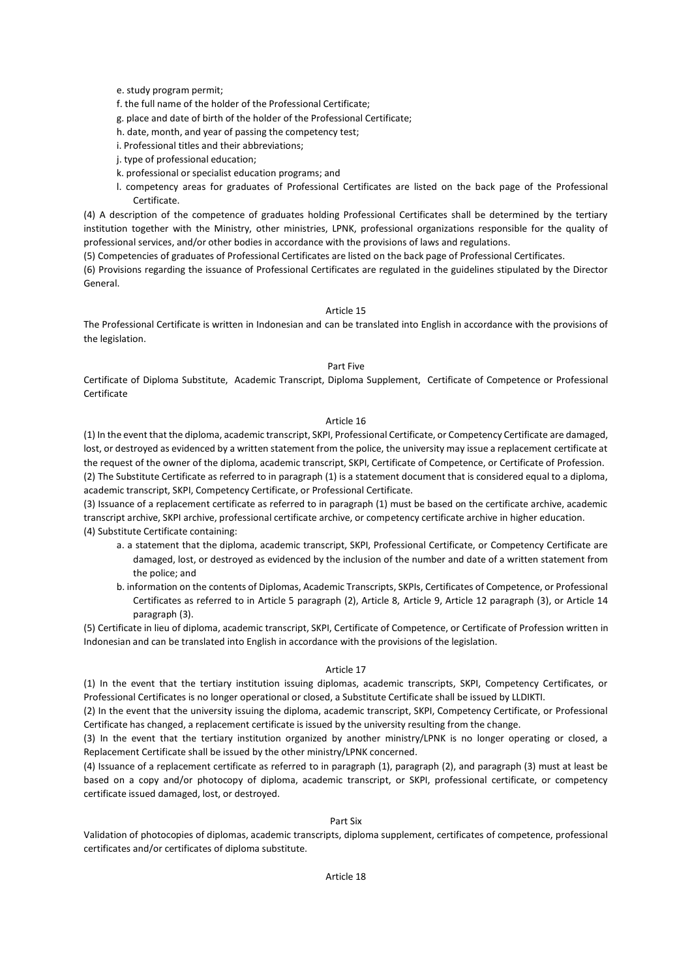e. study program permit;

f. the full name of the holder of the Professional Certificate;

g. place and date of birth of the holder of the Professional Certificate;

- h. date, month, and year of passing the competency test;
- i. Professional titles and their abbreviations;

j. type of professional education;

- k. professional or specialist education programs; and
- l. competency areas for graduates of Professional Certificates are listed on the back page of the Professional Certificate.

(4) A description of the competence of graduates holding Professional Certificates shall be determined by the tertiary institution together with the Ministry, other ministries, LPNK, professional organizations responsible for the quality of professional services, and/or other bodies in accordance with the provisions of laws and regulations.

(5) Competencies of graduates of Professional Certificates are listed on the back page of Professional Certificates.

(6) Provisions regarding the issuance of Professional Certificates are regulated in the guidelines stipulated by the Director General.

#### Article 15

The Professional Certificate is written in Indonesian and can be translated into English in accordance with the provisions of the legislation.

## Part Five

Certificate of Diploma Substitute, Academic Transcript, Diploma Supplement, Certificate of Competence or Professional Certificate

#### Article 16

(1) In the event that the diploma, academic transcript, SKPI, Professional Certificate, or Competency Certificate are damaged, lost, or destroyed as evidenced by a written statement from the police, the university may issue a replacement certificate at the request of the owner of the diploma, academic transcript, SKPI, Certificate of Competence, or Certificate of Profession. (2) The Substitute Certificate as referred to in paragraph (1) is a statement document that is considered equal to a diploma, academic transcript, SKPI, Competency Certificate, or Professional Certificate.

(3) Issuance of a replacement certificate as referred to in paragraph (1) must be based on the certificate archive, academic transcript archive, SKPI archive, professional certificate archive, or competency certificate archive in higher education. (4) Substitute Certificate containing:

- a. a statement that the diploma, academic transcript, SKPI, Professional Certificate, or Competency Certificate are damaged, lost, or destroyed as evidenced by the inclusion of the number and date of a written statement from the police; and
- b. information on the contents of Diplomas, Academic Transcripts, SKPIs, Certificates of Competence, or Professional Certificates as referred to in Article 5 paragraph (2), Article 8, Article 9, Article 12 paragraph (3), or Article 14 paragraph (3).

(5) Certificate in lieu of diploma, academic transcript, SKPI, Certificate of Competence, or Certificate of Profession written in Indonesian and can be translated into English in accordance with the provisions of the legislation.

#### Article 17

(1) In the event that the tertiary institution issuing diplomas, academic transcripts, SKPI, Competency Certificates, or Professional Certificates is no longer operational or closed, a Substitute Certificate shall be issued by LLDIKTI.

(2) In the event that the university issuing the diploma, academic transcript, SKPI, Competency Certificate, or Professional Certificate has changed, a replacement certificate is issued by the university resulting from the change.

(3) In the event that the tertiary institution organized by another ministry/LPNK is no longer operating or closed, a Replacement Certificate shall be issued by the other ministry/LPNK concerned.

(4) Issuance of a replacement certificate as referred to in paragraph (1), paragraph (2), and paragraph (3) must at least be based on a copy and/or photocopy of diploma, academic transcript, or SKPI, professional certificate, or competency certificate issued damaged, lost, or destroyed.

#### Part Six

Validation of photocopies of diplomas, academic transcripts, diploma supplement, certificates of competence, professional certificates and/or certificates of diploma substitute.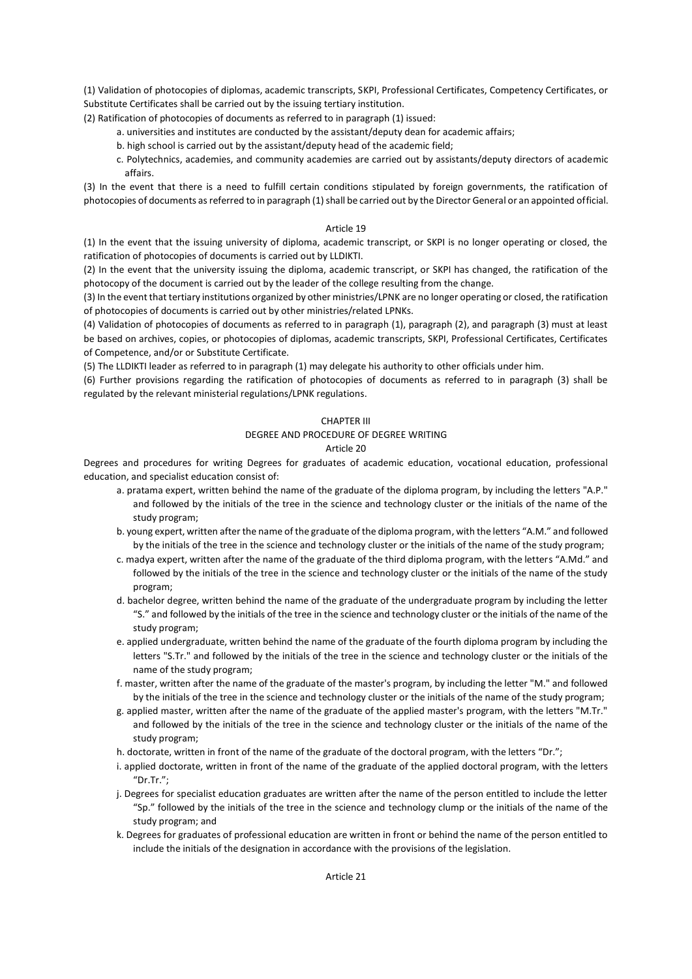(1) Validation of photocopies of diplomas, academic transcripts, SKPI, Professional Certificates, Competency Certificates, or Substitute Certificates shall be carried out by the issuing tertiary institution.

(2) Ratification of photocopies of documents as referred to in paragraph (1) issued:

- a. universities and institutes are conducted by the assistant/deputy dean for academic affairs;
- b. high school is carried out by the assistant/deputy head of the academic field;
- c. Polytechnics, academies, and community academies are carried out by assistants/deputy directors of academic affairs.

(3) In the event that there is a need to fulfill certain conditions stipulated by foreign governments, the ratification of photocopies of documents as referred to in paragraph (1) shall be carried out by the Director General or an appointed official.

#### Article 19

(1) In the event that the issuing university of diploma, academic transcript, or SKPI is no longer operating or closed, the ratification of photocopies of documents is carried out by LLDIKTI.

(2) In the event that the university issuing the diploma, academic transcript, or SKPI has changed, the ratification of the photocopy of the document is carried out by the leader of the college resulting from the change.

(3) In the event that tertiary institutions organized by other ministries/LPNK are no longer operating or closed, the ratification of photocopies of documents is carried out by other ministries/related LPNKs.

(4) Validation of photocopies of documents as referred to in paragraph (1), paragraph (2), and paragraph (3) must at least be based on archives, copies, or photocopies of diplomas, academic transcripts, SKPI, Professional Certificates, Certificates of Competence, and/or or Substitute Certificate.

(5) The LLDIKTI leader as referred to in paragraph (1) may delegate his authority to other officials under him.

(6) Further provisions regarding the ratification of photocopies of documents as referred to in paragraph (3) shall be regulated by the relevant ministerial regulations/LPNK regulations.

#### CHAPTER III

#### DEGREE AND PROCEDURE OF DEGREE WRITING

#### Article 20

Degrees and procedures for writing Degrees for graduates of academic education, vocational education, professional education, and specialist education consist of:

- a. pratama expert, written behind the name of the graduate of the diploma program, by including the letters "A.P." and followed by the initials of the tree in the science and technology cluster or the initials of the name of the study program;
- b. young expert, written after the name of the graduate of the diploma program, with the letters "A.M." and followed by the initials of the tree in the science and technology cluster or the initials of the name of the study program;
- c. madya expert, written after the name of the graduate of the third diploma program, with the letters "A.Md." and followed by the initials of the tree in the science and technology cluster or the initials of the name of the study program;
- d. bachelor degree, written behind the name of the graduate of the undergraduate program by including the letter "S." and followed by the initials of the tree in the science and technology cluster or the initials of the name of the study program;
- e. applied undergraduate, written behind the name of the graduate of the fourth diploma program by including the letters "S.Tr." and followed by the initials of the tree in the science and technology cluster or the initials of the name of the study program;
- f. master, written after the name of the graduate of the master's program, by including the letter "M." and followed by the initials of the tree in the science and technology cluster or the initials of the name of the study program;
- g. applied master, written after the name of the graduate of the applied master's program, with the letters "M.Tr." and followed by the initials of the tree in the science and technology cluster or the initials of the name of the study program;
- h. doctorate, written in front of the name of the graduate of the doctoral program, with the letters "Dr.";
- i. applied doctorate, written in front of the name of the graduate of the applied doctoral program, with the letters "Dr.Tr.";
- j. Degrees for specialist education graduates are written after the name of the person entitled to include the letter "Sp." followed by the initials of the tree in the science and technology clump or the initials of the name of the study program; and
- k. Degrees for graduates of professional education are written in front or behind the name of the person entitled to include the initials of the designation in accordance with the provisions of the legislation.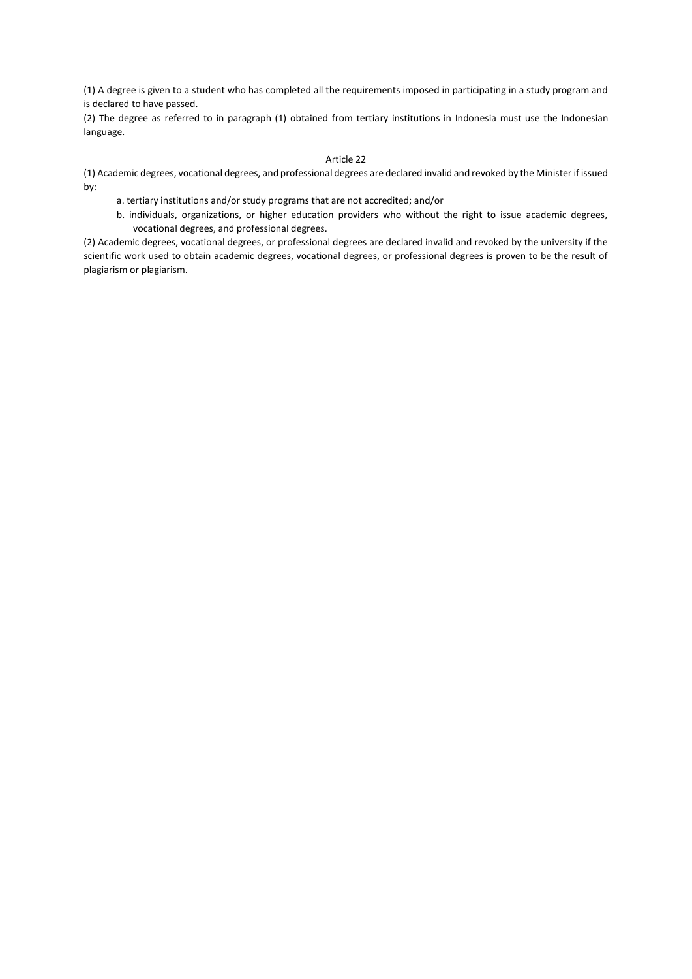(1) A degree is given to a student who has completed all the requirements imposed in participating in a study program and is declared to have passed.

(2) The degree as referred to in paragraph (1) obtained from tertiary institutions in Indonesia must use the Indonesian language.

# Article 22

(1) Academic degrees, vocational degrees, and professional degrees are declared invalid and revoked by the Minister if issued by:

- a. tertiary institutions and/or study programs that are not accredited; and/or
- b. individuals, organizations, or higher education providers who without the right to issue academic degrees, vocational degrees, and professional degrees.

(2) Academic degrees, vocational degrees, or professional degrees are declared invalid and revoked by the university if the scientific work used to obtain academic degrees, vocational degrees, or professional degrees is proven to be the result of plagiarism or plagiarism.